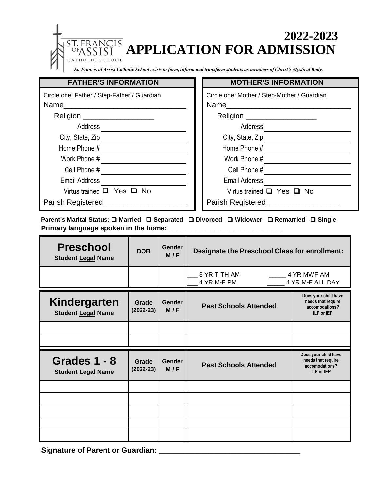**APPLICATION FOR ADMISSION 2022-2023**

*St. Francis of Assisi Catholic School exists to form, inform and transform students as members of Christ's Mystical Body.*

 $\overline{CIS}$ 

 $CHOOL$ 

CATHO

| <b>FATHER'S INFORMATION</b>                 | <b>MOTHER'S INFORMATION</b>                 |  |
|---------------------------------------------|---------------------------------------------|--|
| Circle one: Father / Step-Father / Guardian | Circle one: Mother / Step-Mother / Guardian |  |
| Name                                        | Name                                        |  |
| Religion ____________________               | Religion ____________________               |  |
| <b>Address</b>                              | Address                                     |  |
| City, State, Zip                            | City, State, Zip                            |  |
| Home Phone #                                | Home Phone #                                |  |
| Work Phone #                                | Work Phone #                                |  |
| Cell Phone #                                | Cell Phone #                                |  |
| <b>Email Address</b>                        | <b>Email Address</b>                        |  |
| Virtus trained $\Box$ Yes $\Box$ No         | Virtus trained $\Box$ Yes $\Box$ No         |  |
| Parish Registered                           | Parish Registered                           |  |

**Parent's Marital Status: Q Married Q Separated Q Divorced Q Widow/er Q Remarried Q Single Primary language spoken in the home:** 

| <b>Preschool</b><br><b>Student Legal Name</b> | <b>DOB</b>           | <b>Gender</b><br>M/F | Designate the Preschool Class for enrollment:                         |                                                                            |
|-----------------------------------------------|----------------------|----------------------|-----------------------------------------------------------------------|----------------------------------------------------------------------------|
|                                               |                      |                      | 3 YR T-TH AM<br>______ 4 YR MWF AM<br>4 YR M-F ALL DAY<br>4 YR M-F PM |                                                                            |
| Kindergarten<br><b>Student Legal Name</b>     | Grade<br>$(2022-23)$ | <b>Gender</b><br>M/F | <b>Past Schools Attended</b>                                          | Does your child have<br>needs that require<br>accomodations?<br>ILP or IEP |
|                                               |                      |                      |                                                                       |                                                                            |
|                                               |                      |                      |                                                                       |                                                                            |
| Grades 1 - 8<br><b>Student Legal Name</b>     | Grade<br>$(2022-23)$ | <b>Gender</b><br>M/F | <b>Past Schools Attended</b>                                          | Does your child have<br>needs that require<br>accomodations?<br>ILP or IEP |
|                                               |                      |                      |                                                                       |                                                                            |
|                                               |                      |                      |                                                                       |                                                                            |
|                                               |                      |                      |                                                                       |                                                                            |
|                                               |                      |                      |                                                                       |                                                                            |
|                                               |                      |                      |                                                                       |                                                                            |

Signature of Parent or Guardian: